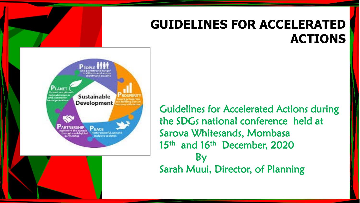#### **GUIDELINES FOR ACCELERATED ACTIONS**



Guidelines for Accelerated Actions during the SDGs national conference held at Sarova Whitesands, Mombasa 15<sup>th</sup> and 16<sup>th</sup> December, 2020 By Sarah Muui, Director, of Planning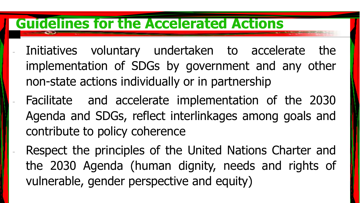### **Guidelines for the Accelerated Actions**

- Initiatives voluntary undertaken to accelerate the implementation of SDGs by government and any other non-state actions individually or in partnership
	- Facilitate and accelerate implementation of the 2030 Agenda and SDGs, reflect interlinkages among goals and contribute to policy coherence
- Respect the principles of the United Nations Charter and the 2030 Agenda (human dignity, needs and rights of vulnerable, gender perspective and equity)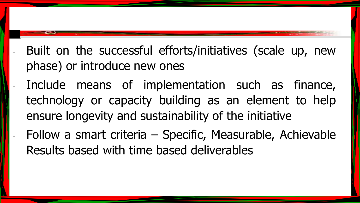- Built on the successful efforts/initiatives (scale up, new phase) or introduce new ones
- Include means of implementation such as finance, technology or capacity building as an element to help ensure longevity and sustainability of the initiative
	- Follow a smart criteria Specific, Measurable, Achievable Results based with time based deliverables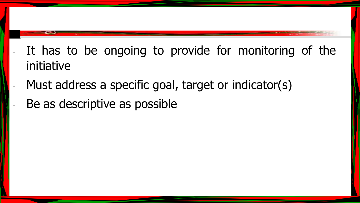- It has to be ongoing to provide for monitoring of the initiative
- Must address a specific goal, target or indicator(s)
- Be as descriptive as possible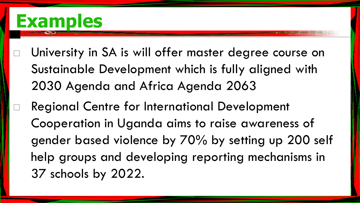## **Examples**

- University in SA is will offer master degree course on Sustainable Development which is fully aligned with 2030 Agenda and Africa Agenda 2063
	- Regional Centre for International Development Cooperation in Uganda aims to raise awareness of gender based violence by 70% by setting up 200 self help groups and developing reporting mechanisms in 37 schools by 2022.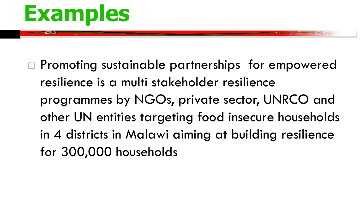# **Examples**

□ Promoting sustainable partnerships for empowered resilience is a multi stakeholder resilience programmes by NGOs, private sector, UNRCO and other UN entities targeting food insecure households in 4 districts in Malawi aiming at building resilience for 300,000 households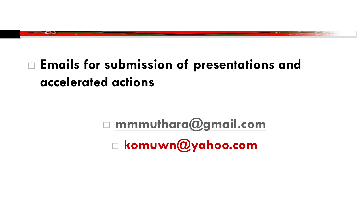### **Emails for submission of presentations and accelerated actions**

 **[mmmuthara@gmail.com](mailto:mmuthara@gmail.com) komuwn@yahoo.com**